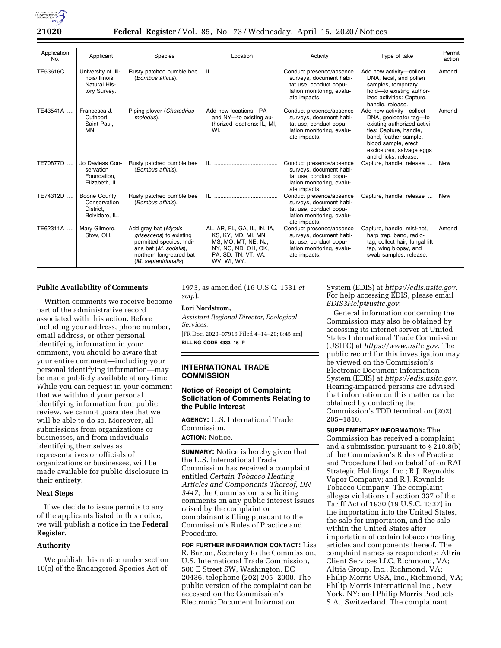

| Application<br>No. | Applicant                                                            | Species                                                                                                                                                  | Location                                                                                                                               | Activity                                                                                                                   | Type of take                                                                                                                                                                                                    | Permit<br>action |
|--------------------|----------------------------------------------------------------------|----------------------------------------------------------------------------------------------------------------------------------------------------------|----------------------------------------------------------------------------------------------------------------------------------------|----------------------------------------------------------------------------------------------------------------------------|-----------------------------------------------------------------------------------------------------------------------------------------------------------------------------------------------------------------|------------------|
| TE53616C           | University of Illi-<br>nois/Illinois<br>Natural His-<br>tory Survey. | Rusty patched bumble bee<br>(Bombus affinis).                                                                                                            |                                                                                                                                        | Conduct presence/absence<br>surveys, document habi-<br>tat use, conduct popu-<br>lation monitoring, evalu-<br>ate impacts. | Add new activity-collect<br>DNA, fecal, and pollen<br>samples, temporary<br>hold-to existing author-<br>ized activities: Capture,<br>handle, release.                                                           | Amend            |
| TE43541A           | Francesca J.<br>Cuthbert.<br>Saint Paul,<br>MN.                      | Piping plover (Charadrius<br>melodus).                                                                                                                   | Add new locations-PA<br>and NY-to existing au-<br>thorized locations: IL, MI,<br>WI.                                                   | Conduct presence/absence<br>surveys, document habi-<br>tat use, conduct popu-<br>lation monitoring, evalu-<br>ate impacts. | Add new activity-collect<br>DNA, geolocator tag-to<br>existing authorized activi-<br>ties: Capture, handle,<br>band, feather sample,<br>blood sample, erect<br>exclosures, salvage eggs<br>and chicks, release. | Amend            |
| TE70877D           | Jo Daviess Con-<br>servation<br>Foundation.<br>Elizabeth, IL.        | Rusty patched bumble bee<br>(Bombus affinis).                                                                                                            | IL                                                                                                                                     | Conduct presence/absence<br>surveys, document habi-<br>tat use, conduct popu-<br>lation monitoring, evalu-<br>ate impacts. | Capture, handle, release                                                                                                                                                                                        | New              |
| TE74312D           | Boone County<br>Conservation<br>District.<br>Belvidere, IL.          | Rusty patched bumble bee<br>(Bombus affinis).                                                                                                            | IL.                                                                                                                                    | Conduct presence/absence<br>surveys, document habi-<br>tat use, conduct popu-<br>lation monitoring, evalu-<br>ate impacts. | Capture, handle, release                                                                                                                                                                                        | New              |
| TE62311A           | Mary Gilmore,<br>Stow, OH.                                           | Add gray bat (Myotis<br>grisescens) to existing<br>permitted species: Indi-<br>ana bat (M. sodalis),<br>northern long-eared bat<br>(M. septentrionalis). | AL, AR, FL, GA, IL, IN, IA,<br>KS, KY, MD, MI, MN,<br>MS, MO, MT, NE, NJ,<br>NY, NC, ND, OH, OK,<br>PA, SD, TN, VT, VA,<br>WV, WI, WY. | Conduct presence/absence<br>surveys, document habi-<br>tat use, conduct popu-<br>lation monitoring, evalu-<br>ate impacts. | Capture, handle, mist-net,<br>harp trap, band, radio-<br>tag, collect hair, fungal lift<br>tap, wing biopsy, and<br>swab samples, release.                                                                      | Amend            |

## **Public Availability of Comments**

Written comments we receive become part of the administrative record associated with this action. Before including your address, phone number, email address, or other personal identifying information in your comment, you should be aware that your entire comment—including your personal identifying information—may be made publicly available at any time. While you can request in your comment that we withhold your personal identifying information from public review, we cannot guarantee that we will be able to do so. Moreover, all submissions from organizations or businesses, and from individuals identifying themselves as representatives or officials of organizations or businesses, will be made available for public disclosure in their entirety.

## **Next Steps**

If we decide to issue permits to any of the applicants listed in this notice, we will publish a notice in the **Federal Register**.

## **Authority**

We publish this notice under section 10(c) of the Endangered Species Act of

1973, as amended (16 U.S.C. 1531 *et seq.*).

### **Lori Nordstrom,**

*Assistant Regional Director, Ecological Services.*  [FR Doc. 2020–07916 Filed 4–14–20; 8:45 am]

**BILLING CODE 4333–15–P** 

### **INTERNATIONAL TRADE COMMISSION**

## **Notice of Receipt of Complaint; Solicitation of Comments Relating to the Public Interest**

**AGENCY:** U.S. International Trade Commission.

# **ACTION:** Notice.

**SUMMARY:** Notice is hereby given that the U.S. International Trade Commission has received a complaint entitled *Certain Tobacco Heating Articles and Components Thereof, DN 3447*; the Commission is soliciting comments on any public interest issues raised by the complaint or complainant's filing pursuant to the Commission's Rules of Practice and Procedure.

**FOR FURTHER INFORMATION CONTACT:** Lisa R. Barton, Secretary to the Commission, U.S. International Trade Commission, 500 E Street SW, Washington, DC 20436, telephone (202) 205–2000. The public version of the complaint can be accessed on the Commission's Electronic Document Information

System (EDIS) at *[https://edis.usitc.gov.](https://edis.usitc.gov)*  For help accessing EDIS, please email *[EDIS3Help@usitc.gov.](mailto:EDIS3Help@usitc.gov)* 

General information concerning the Commission may also be obtained by accessing its internet server at United States International Trade Commission (USITC) at *[https://www.usitc.gov.](https://www.usitc.gov)* The public record for this investigation may be viewed on the Commission's Electronic Document Information System (EDIS) at *[https://edis.usitc.gov.](https://edis.usitc.gov)*  Hearing-impaired persons are advised that information on this matter can be obtained by contacting the Commission's TDD terminal on (202) 205–1810.

**SUPPLEMENTARY INFORMATION:** The Commission has received a complaint and a submission pursuant to § 210.8(b) of the Commission's Rules of Practice and Procedure filed on behalf of on RAI Strategic Holdings, Inc.; R.J. Reynolds Vapor Company; and R.J. Reynolds Tobacco Company. The complaint alleges violations of section 337 of the Tariff Act of 1930 (19 U.S.C. 1337) in the importation into the United States, the sale for importation, and the sale within the United States after importation of certain tobacco heating articles and components thereof. The complaint names as respondents: Altria Client Services LLC, Richmond, VA; Altria Group, Inc., Richmond, VA; Philip Morris USA, Inc., Richmond, VA; Philip Morris International Inc., New York, NY; and Philip Morris Products S.A., Switzerland. The complainant